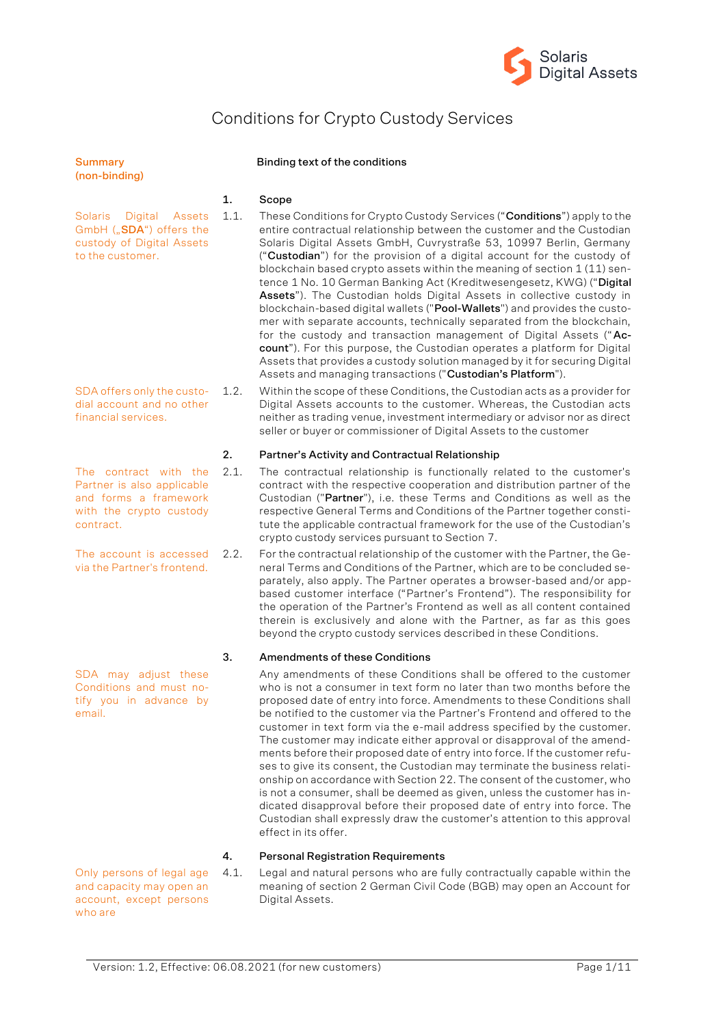

# Conditions for Crypto Custody Services

| <b>Summary</b><br>(non-binding)                                                                                      |      | Binding text of the conditions                                                                                                                                                                                                                                                                                                                                                                                                                                                                                                                                                                                                                                                                                                                                                                                                                                                                                                                                                        |
|----------------------------------------------------------------------------------------------------------------------|------|---------------------------------------------------------------------------------------------------------------------------------------------------------------------------------------------------------------------------------------------------------------------------------------------------------------------------------------------------------------------------------------------------------------------------------------------------------------------------------------------------------------------------------------------------------------------------------------------------------------------------------------------------------------------------------------------------------------------------------------------------------------------------------------------------------------------------------------------------------------------------------------------------------------------------------------------------------------------------------------|
|                                                                                                                      | 1.   | Scope                                                                                                                                                                                                                                                                                                                                                                                                                                                                                                                                                                                                                                                                                                                                                                                                                                                                                                                                                                                 |
| <b>Solaris</b><br>Digital<br>Assets<br>GmbH ("SDA") offers the<br>custody of Digital Assets<br>to the customer.      | 1.1. | These Conditions for Crypto Custody Services ("Conditions") apply to the<br>entire contractual relationship between the customer and the Custodian<br>Solaris Digital Assets GmbH, Cuvrystraße 53, 10997 Berlin, Germany<br>("Custodian") for the provision of a digital account for the custody of<br>blockchain based crypto assets within the meaning of section 1 (11) sen-<br>tence 1 No. 10 German Banking Act (Kreditwesengesetz, KWG) ("Digital<br>Assets"). The Custodian holds Digital Assets in collective custody in<br>blockchain-based digital wallets ("Pool-Wallets") and provides the custo-<br>mer with separate accounts, technically separated from the blockchain,<br>for the custody and transaction management of Digital Assets ("Ac-<br>count"). For this purpose, the Custodian operates a platform for Digital<br>Assets that provides a custody solution managed by it for securing Digital<br>Assets and managing transactions ("Custodian's Platform"). |
| SDA offers only the custo-<br>dial account and no other<br>financial services.                                       | 1.2. | Within the scope of these Conditions, the Custodian acts as a provider for<br>Digital Assets accounts to the customer. Whereas, the Custodian acts<br>neither as trading venue, investment intermediary or advisor nor as direct<br>seller or buyer or commissioner of Digital Assets to the customer                                                                                                                                                                                                                                                                                                                                                                                                                                                                                                                                                                                                                                                                                 |
|                                                                                                                      | 2.   | Partner's Activity and Contractual Relationship                                                                                                                                                                                                                                                                                                                                                                                                                                                                                                                                                                                                                                                                                                                                                                                                                                                                                                                                       |
| The contract with the<br>Partner is also applicable<br>and forms a framework<br>with the crypto custody<br>contract. | 2.1. | The contractual relationship is functionally related to the customer's<br>contract with the respective cooperation and distribution partner of the<br>Custodian ("Partner"), i.e. these Terms and Conditions as well as the<br>respective General Terms and Conditions of the Partner together consti-<br>tute the applicable contractual framework for the use of the Custodian's<br>crypto custody services pursuant to Section 7.                                                                                                                                                                                                                                                                                                                                                                                                                                                                                                                                                  |
| The account is accessed<br>via the Partner's frontend.                                                               | 2.2. | For the contractual relationship of the customer with the Partner, the Ge-<br>neral Terms and Conditions of the Partner, which are to be concluded se-<br>parately, also apply. The Partner operates a browser-based and/or app-<br>based customer interface ("Partner's Frontend"). The responsibility for<br>the operation of the Partner's Frontend as well as all content contained<br>therein is exclusively and alone with the Partner, as far as this goes<br>beyond the crypto custody services described in these Conditions.                                                                                                                                                                                                                                                                                                                                                                                                                                                |
|                                                                                                                      | з.   | <b>Amendments of these Conditions</b>                                                                                                                                                                                                                                                                                                                                                                                                                                                                                                                                                                                                                                                                                                                                                                                                                                                                                                                                                 |
| SDA may adjust these<br>Conditions and must no-<br>tify you in advance by<br>email.                                  |      | Any amendments of these Conditions shall be offered to the customer<br>who is not a consumer in text form no later than two months before the<br>proposed date of entry into force. Amendments to these Conditions shall<br>be notified to the customer via the Partner's Frontend and offered to the<br>customer in text form via the e-mail address specified by the customer.<br>The customer may indicate either approval or disapproval of the amend-<br>ments before their proposed date of entry into force. If the customer refu-<br>ses to give its consent, the Custodian may terminate the business relati-<br>onship on accordance with Section 22. The consent of the customer, who<br>is not a consumer, shall be deemed as given, unless the customer has in-<br>dicated disapproval before their proposed date of entry into force. The<br>Custodian shall expressly draw the customer's attention to this approval                                                   |

# **4. Personal Registration Requirements**

effect in its offer.

Only persons of legal age and capacity may open an account, except persons who are

4.1. Legal and natural persons who are fully contractually capable within the meaning of section 2 German Civil Code (BGB) may open an Account for Digital Assets.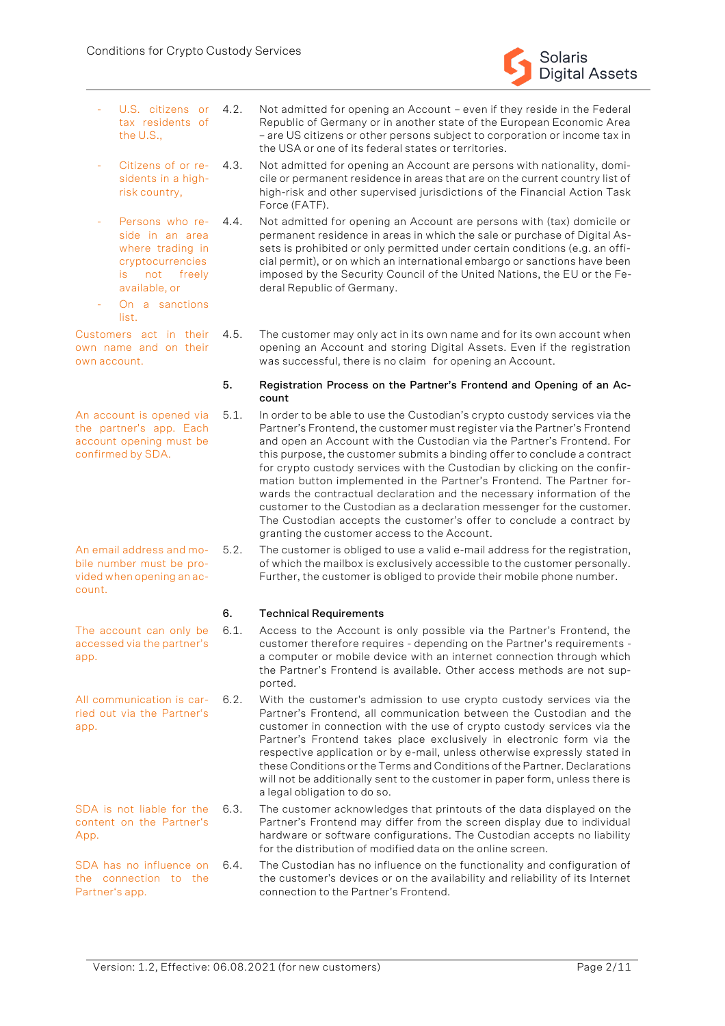

- U.S. citizens or tax residents of the U.S., 4.2. Not admitted for opening an Account – even if they reside in the Federal
- Citizens of or residents in a highrisk country, 4.3. Not admitted for opening an Account are persons with nationality, domi-
- Persons who reside in an area where trading in cryptocurrencies is not freely available, or 4.4. Not admitted for opening an Account are persons with (tax) domicile or
- On a sanctions list.

Customers act in their own name and on their own account.

An account is opened via the partner's app. Each account opening must be confirmed by SDA.

4.5. The customer may only act in its own name and for its own account when opening an Account and storing Digital Assets. Even if the registration was successful, there is no claim for opening an Account.

Republic of Germany or in another state of the European Economic Area – are US citizens or other persons subject to corporation or income tax in

cile or permanent residence in areas that are on the current country list of high-risk and other supervised jurisdictions of the Financial Action Task

permanent residence in areas in which the sale or purchase of Digital Assets is prohibited or only permitted under certain conditions (e.g. an official permit), or on which an international embargo or sanctions have been imposed by the Security Council of the United Nations, the EU or the Fe-

the USA or one of its federal states or territories.

#### **5. Registration Process on the Partner's Frontend and Opening of an Account**

- 5.1. In order to be able to use the Custodian's crypto custody services via the Partner's Frontend, the customer must register via the Partner's Frontend and open an Account with the Custodian via the Partner's Frontend. For this purpose, the customer submits a binding offer to conclude a contract for crypto custody services with the Custodian by clicking on the confirmation button implemented in the Partner's Frontend. The Partner forwards the contractual declaration and the necessary information of the customer to the Custodian as a declaration messenger for the customer. The Custodian accepts the customer's offer to conclude a contract by granting the customer access to the Account.
	- 5.2. The customer is obliged to use a valid e-mail address for the registration, of which the mailbox is exclusively accessible to the customer personally. Further, the customer is obliged to provide their mobile phone number.

# **6. Technical Requirements**

Force (FATF).

deral Republic of Germany.

- 6.1. Access to the Account is only possible via the Partner's Frontend, the customer therefore requires - depending on the Partner's requirements a computer or mobile device with an internet connection through which the Partner's Frontend is available. Other access methods are not supported.
- 6.2. With the customer's admission to use crypto custody services via the Partner's Frontend, all communication between the Custodian and the customer in connection with the use of crypto custody services via the Partner's Frontend takes place exclusively in electronic form via the respective application or by e-mail, unless otherwise expressly stated in these Conditions or the Terms and Conditions of the Partner. Declarations will not be additionally sent to the customer in paper form, unless there is a legal obligation to do so.
- 6.3. The customer acknowledges that printouts of the data displayed on the Partner's Frontend may differ from the screen display due to individual hardware or software configurations. The Custodian accepts no liability for the distribution of modified data on the online screen.
- The Custodian has no influence on the functionality and configuration of the customer's devices or on the availability and reliability of its Internet connection to the Partner's Frontend.

An email address and mobile number must be provided when opening an account.

The account can only be accessed via the partner's app.

All communication is carried out via the Partner's app.

SDA is not liable for the content on the Partner's App.

SDA has no influence on 6.4. the connection to the Partner's app.

Version: 1.2, Effective: 06.08.2021 (for new customers) Page 2/11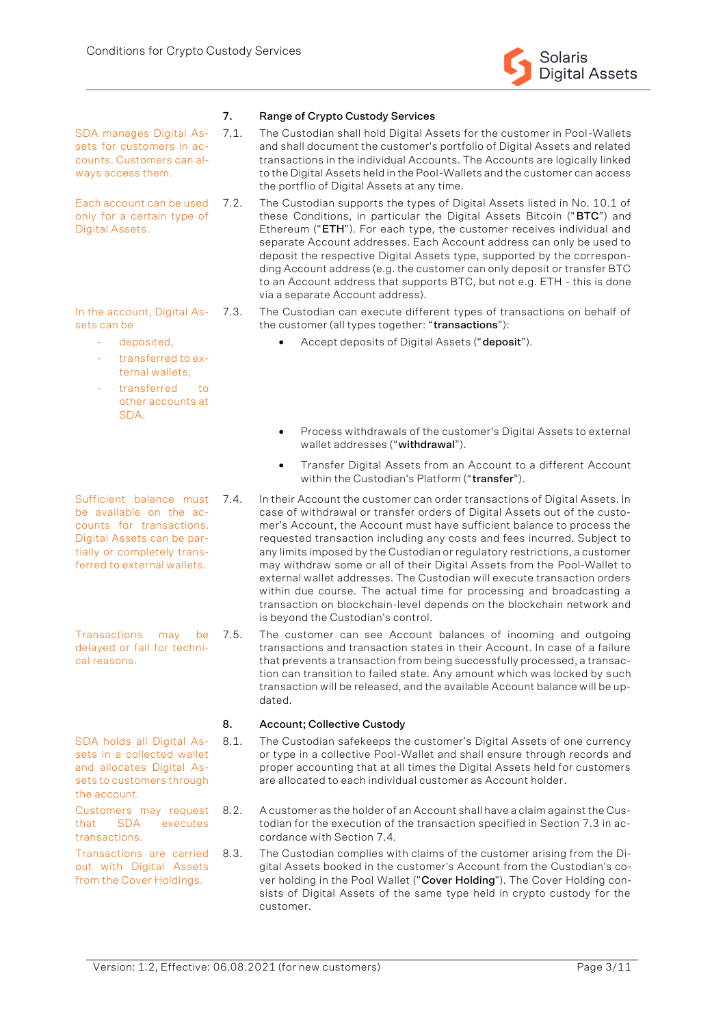

#### **7. Range of Crypto Custody Services**

SDA manages Digital Assets for customers in accounts. Customers can always access them.

Each account can be used only for a certain type of Digital Assets.

In the account, Digital Assets can be

- deposited,
- transferred to external wallets,
- transferred to other accounts at SDA.

Sufficient balance must 7.4. be available on the accounts for transactions. Digital Assets can be partially or completely transferred to external wallets.

Transactions may be delayed or fail for technical reasons.

SDA holds all Digital Assets in a collected wallet and allocates Digital Assets to customers through the account.

Customers may request that SDA executes transactions.

Transactions are carried out with Digital Assets from the Cover Holdings.

- 7.1. The Custodian shall hold Digital Assets for the customer in Pool-Wallets and shall document the customer's portfolio of Digital Assets and related transactions in the individual Accounts. The Accounts are logically linked to the Digital Assets held in the Pool-Wallets and the customer can access the portflio of Digital Assets at any time.
- 7.2. The Custodian supports the types of Digital Assets listed in No. 10.1 of these Conditions, in particular the Digital Assets Bitcoin ("**BTC**") and Ethereum ("**ETH**"). For each type, the customer receives individual and separate Account addresses. Each Account address can only be used to deposit the respective Digital Assets type, supported by the corresponding Account address (e.g. the customer can only deposit or transfer BTC to an Account address that supports BTC, but not e.g. ETH - this is done via a separate Account address).
- 7.3. The Custodian can execute different types of transactions on behalf of the customer (all types together: "**transactions**"):
	- Accept deposits of Digital Assets ("**deposit**").
	- Process withdrawals of the customer's Digital Assets to external wallet addresses ("**withdrawal**").
	- Transfer Digital Assets from an Account to a different Account within the Custodian's Platform ("**transfer**").
- In their Account the customer can order transactions of Digital Assets. In case of withdrawal or transfer orders of Digital Assets out of the customer's Account, the Account must have sufficient balance to process the requested transaction including any costs and fees incurred. Subject to any limits imposed by the Custodian or regulatory restrictions, a customer may withdraw some or all of their Digital Assets from the Pool-Wallet to external wallet addresses. The Custodian will execute transaction orders within due course. The actual time for processing and broadcasting a transaction on blockchain-level depends on the blockchain network and is beyond the Custodian's control.
- 7.5. The customer can see Account balances of incoming and outgoing transactions and transaction states in their Account. In case of a failure that prevents a transaction from being successfully processed, a transaction can transition to failed state. Any amount which was locked by such transaction will be released, and the available Account balance will be updated.

# **8. Account; Collective Custody**

- 8.1. The Custodian safekeeps the customer's Digital Assets of one currency or type in a collective Pool-Wallet and shall ensure through records and proper accounting that at all times the Digital Assets held for customers are allocated to each individual customer as Account holder.
- 8.2. A customer as the holder of an Account shall have a claim against the Custodian for the execution of the transaction specified in Section 7.3 in accordance with Section 7.4.
- The Custodian complies with claims of the customer arising from the Digital Assets booked in the customer's Account from the Custodian's cover holding in the Pool Wallet ("**Cover Holding**"). The Cover Holding consists of Digital Assets of the same type held in crypto custody for the customer.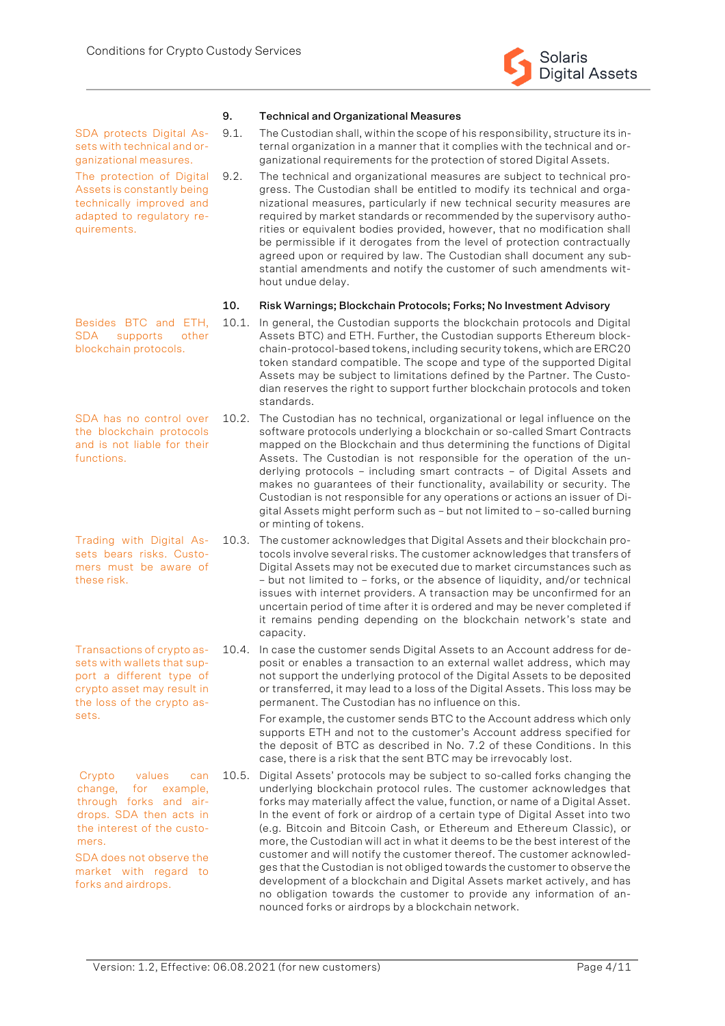

#### **9. Technical and Organizational Measures**

SDA protects Digital Assets with technical and organizational measures.

The protection of Digital Assets is constantly being technically improved and adapted to regulatory requirements.

Besides BTC and ETH, SDA supports other blockchain protocols.

SDA has no control over the blockchain protocols and is not liable for their functions.

sets bears risks. Customers must be aware of these risk.

Transactions of crypto assets with wallets that support a different type of crypto asset may result in the loss of the crypto assets.

Crypto values can change, for example, through forks and airdrops. SDA then acts in the interest of the customers.

SDA does not observe the market with regard to forks and airdrops.

- 9.1. The Custodian shall, within the scope of his responsibility, structure its internal organization in a manner that it complies with the technical and organizational requirements for the protection of stored Digital Assets.
- 9.2. The technical and organizational measures are subject to technical progress. The Custodian shall be entitled to modify its technical and organizational measures, particularly if new technical security measures are required by market standards or recommended by the supervisory authorities or equivalent bodies provided, however, that no modification shall be permissible if it derogates from the level of protection contractually agreed upon or required by law. The Custodian shall document any substantial amendments and notify the customer of such amendments without undue delay.

#### **10. Risk Warnings; Blockchain Protocols; Forks; No Investment Advisory**

- 10.1. In general, the Custodian supports the blockchain protocols and Digital Assets BTC) and ETH. Further, the Custodian supports Ethereum blockchain-protocol-based tokens, including security tokens, which are ERC20 token standard compatible. The scope and type of the supported Digital Assets may be subject to limitations defined by the Partner. The Custodian reserves the right to support further blockchain protocols and token standards.
- 10.2. The Custodian has no technical, organizational or legal influence on the software protocols underlying a blockchain or so-called Smart Contracts mapped on the Blockchain and thus determining the functions of Digital Assets. The Custodian is not responsible for the operation of the underlying protocols – including smart contracts – of Digital Assets and makes no guarantees of their functionality, availability or security. The Custodian is not responsible for any operations or actions an issuer of Digital Assets might perform such as – but not limited to – so-called burning or minting of tokens.
- Trading with Digital As-10.3. The customer acknowledges that Digital Assets and their blockchain protocols involve several risks. The customer acknowledges that transfers of Digital Assets may not be executed due to market circumstances such as – but not limited to – forks, or the absence of liquidity, and/or technical issues with internet providers. A transaction may be unconfirmed for an uncertain period of time after it is ordered and may be never completed if it remains pending depending on the blockchain network's state and capacity.
	- 10.4. In case the customer sends Digital Assets to an Account address for deposit or enables a transaction to an external wallet address, which may not support the underlying protocol of the Digital Assets to be deposited or transferred, it may lead to a loss of the Digital Assets. This loss may be permanent. The Custodian has no influence on this.

For example, the customer sends BTC to the Account address which only supports ETH and not to the customer's Account address specified for the deposit of BTC as described in No. 7.2 of these Conditions. In this case, there is a risk that the sent BTC may be irrevocably lost.

10.5. Digital Assets' protocols may be subject to so-called forks changing the underlying blockchain protocol rules. The customer acknowledges that forks may materially affect the value, function, or name of a Digital Asset. In the event of fork or airdrop of a certain type of Digital Asset into two (e.g. Bitcoin and Bitcoin Cash, or Ethereum and Ethereum Classic), or more, the Custodian will act in what it deems to be the best interest of the customer and will notify the customer thereof. The customer acknowledges that the Custodian is not obliged towards the customer to observe the development of a blockchain and Digital Assets market actively, and has no obligation towards the customer to provide any information of announced forks or airdrops by a blockchain network.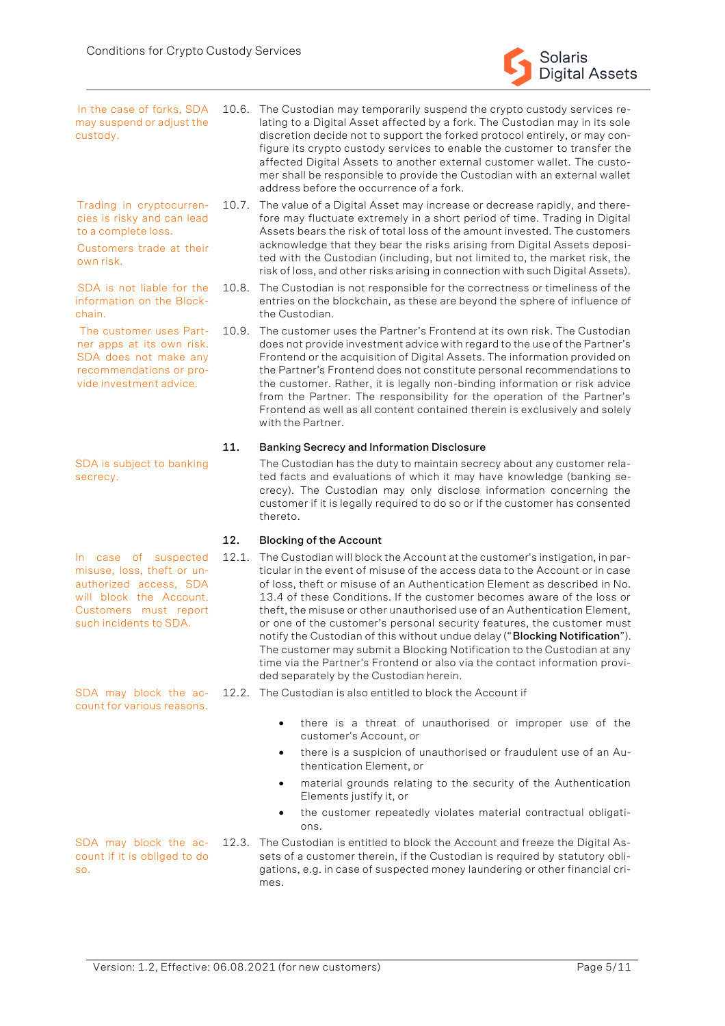

In the case of forks, SDA may suspend or adjust the custody.

Trading in cryptocurrencies is risky and can lead to a complete loss.

Customers trade at their own risk.

SDA is not liable for the information on the Blockchain.

The customer uses Partner apps at its own risk. SDA does not make any recommendations or provide investment advice.

SDA is subject to banking secrecy.

In case of suspected misuse, loss, theft or unauthorized access, SDA will block the Account. Customers must report such incidents to SDA.

SDA may block the account for various reasons.

so.

10.6. The Custodian may temporarily suspend the crypto custody services relating to a Digital Asset affected by a fork. The Custodian may in its sole discretion decide not to support the forked protocol entirely, or may configure its crypto custody services to enable the customer to transfer the affected Digital Assets to another external customer wallet. The customer shall be responsible to provide the Custodian with an external wallet address before the occurrence of a fork.

10.7. The value of a Digital Asset may increase or decrease rapidly, and therefore may fluctuate extremely in a short period of time. Trading in Digital Assets bears the risk of total loss of the amount invested. The customers acknowledge that they bear the risks arising from Digital Assets deposited with the Custodian (including, but not limited to, the market risk, the risk of loss, and other risks arising in connection with such Digital Assets).

10.8. The Custodian is not responsible for the correctness or timeliness of the entries on the blockchain, as these are beyond the sphere of influence of the Custodian.

10.9. The customer uses the Partner's Frontend at its own risk. The Custodian does not provide investment advice with regard to the use of the Partner's Frontend or the acquisition of Digital Assets. The information provided on the Partner's Frontend does not constitute personal recommendations to the customer. Rather, it is legally non-binding information or risk advice from the Partner. The responsibility for the operation of the Partner's Frontend as well as all content contained therein is exclusively and solely with the Partner.

# **11. Banking Secrecy and Information Disclosure**

The Custodian has the duty to maintain secrecy about any customer related facts and evaluations of which it may have knowledge (banking secrecy). The Custodian may only disclose information concerning the customer if it is legally required to do so or if the customer has consented thereto.

# **12. Blocking of the Account**

- 12.1. The Custodian will block the Account at the customer's instigation, in particular in the event of misuse of the access data to the Account or in case of loss, theft or misuse of an Authentication Element as described in No. 13.4 of these Conditions. If the customer becomes aware of the loss or theft, the misuse or other unauthorised use of an Authentication Element, or one of the customer's personal security features, the customer must notify the Custodian of this without undue delay ("**Blocking Notification**"). The customer may submit a Blocking Notification to the Custodian at any time via the Partner's Frontend or also via the contact information provided separately by the Custodian herein.
- 12.2. The Custodian is also entitled to block the Account if
	- there is a threat of unauthorised or improper use of the customer's Account, or
	- there is a suspicion of unauthorised or fraudulent use of an Authentication Element, or
	- material grounds relating to the security of the Authentication Elements justify it, or
	- the customer repeatedly violates material contractual obligations.

SDA may block the account if it is obliged to do 12.3. The Custodian is entitled to block the Account and freeze the Digital Assets of a customer therein, if the Custodian is required by statutory obligations, e.g. in case of suspected money laundering or other financial crimes.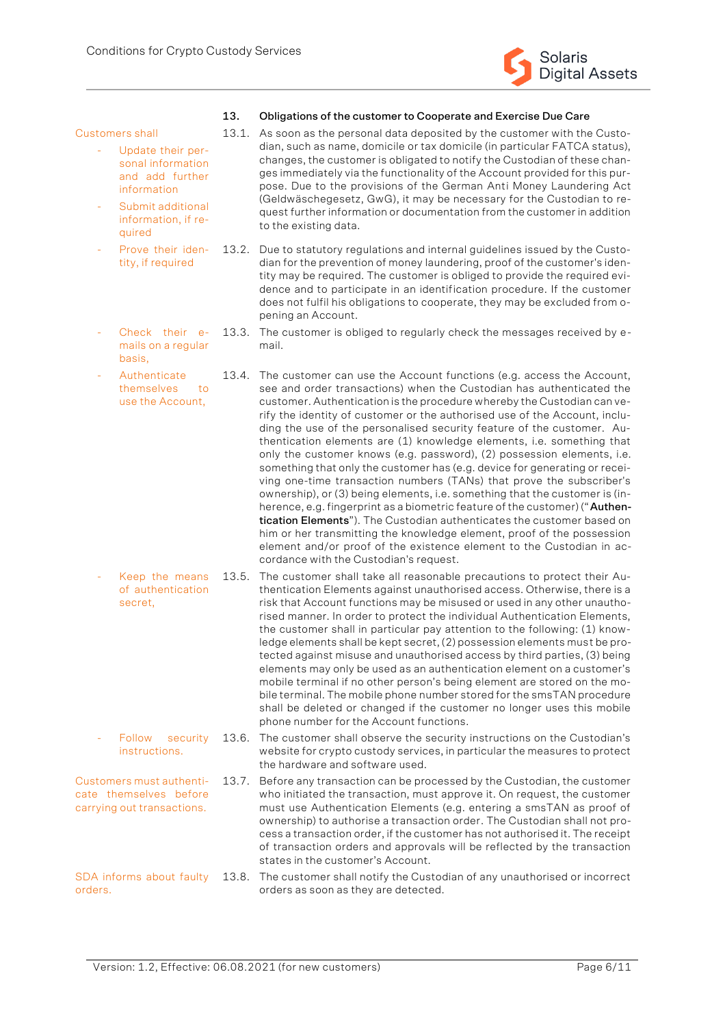

#### **13. Obligations of the customer to Cooperate and Exercise Due Care**

13.1. As soon as the personal data deposited by the customer with the Custodian, such as name, domicile or tax domicile (in particular FATCA status), changes, the customer is obligated to notify the Custodian of these changes immediately via the functionality of the Account provided for this purpose. Due to the provisions of the German Anti Money Laundering Act (Geldwäschegesetz, GwG), it may be necessary for the Custodian to request further information or documentation from the customer in addition

- Customers shall
	- Update their personal information and add further information
	- Submit additional information, if required

basis,

- Prove their identity, if required
	- 13.2. Due to statutory regulations and internal guidelines issued by the Custodian for the prevention of money laundering, proof of the customer's identity may be required. The customer is obliged to provide the required evidence and to participate in an identification procedure. If the customer does not fulfil his obligations to cooperate, they may be excluded from opening an Account.
	- Check their emails on a regular 13.3. The customer is obliged to regularly check the messages received by email.

to the existing data.

- Authenticate themselves to use the Account, 13.4. The customer can use the Account functions (e.g. access the Account, see and order transactions) when the Custodian has authenticated the customer. Authentication is the procedure whereby the Custodian can verify the identity of customer or the authorised use of the Account, including the use of the personalised security feature of the customer. Authentication elements are (1) knowledge elements, i.e. something that only the customer knows (e.g. password), (2) possession elements, i.e. something that only the customer has (e.g. device for generating or receiving one-time transaction numbers (TANs) that prove the subscriber's ownership), or (3) being elements, i.e. something that the customer is (inherence, e.g. fingerprint as a biometric feature of the customer) ("**Authentication Elements**"). The Custodian authenticates the customer based on him or her transmitting the knowledge element, proof of the possession element and/or proof of the existence element to the Custodian in accordance with the Custodian's request.
- Keep the means of authentication secret, 13.5. The customer shall take all reasonable precautions to protect their Authentication Elements against unauthorised access. Otherwise, there is a risk that Account functions may be misused or used in any other unauthorised manner. In order to protect the individual Authentication Elements, the customer shall in particular pay attention to the following: (1) knowledge elements shall be kept secret, (2) possession elements must be protected against misuse and unauthorised access by third parties, (3) being elements may only be used as an authentication element on a customer's mobile terminal if no other person's being element are stored on the mobile terminal. The mobile phone number stored for the smsTAN procedure shall be deleted or changed if the customer no longer uses this mobile phone number for the Account functions.
- Follow security **instructions** 13.6. The customer shall observe the security instructions on the Custodian's website for crypto custody services, in particular the measures to protect the hardware and software used.
- Customers must authenticate themselves before carrying out transactions. 13.7. Before any transaction can be processed by the Custodian, the customer who initiated the transaction, must approve it. On request, the customer must use Authentication Elements (e.g. entering a smsTAN as proof of ownership) to authorise a transaction order. The Custodian shall not process a transaction order, if the customer has not authorised it. The receipt of transaction orders and approvals will be reflected by the transaction states in the customer's Account.
- SDA informs about faulty orders. 13.8. The customer shall notify the Custodian of any unauthorised or incorrect orders as soon as they are detected.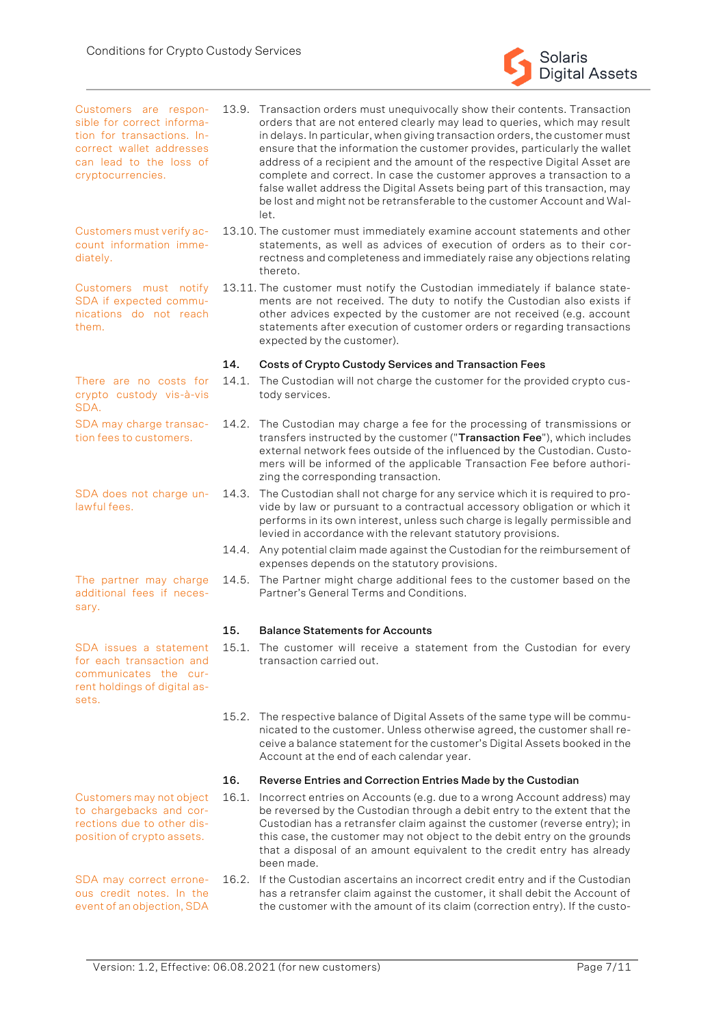

- Customers are responsible for correct information for transactions. Incorrect wallet addresses can lead to the loss of cryptocurrencies. 13.9. Transaction orders must unequivocally show their contents. Transaction orders that are not entered clearly may lead to queries, which may result in delays. In particular, when giving transaction orders, the customer must ensure that the information the customer provides, particularly the wallet address of a recipient and the amount of the respective Digital Asset are complete and correct. In case the customer approves a transaction to a false wallet address the Digital Assets being part of this transaction, may be lost and might not be retransferable to the customer Account and Wallet.
	- 13.10. The customer must immediately examine account statements and other statements, as well as advices of execution of orders as to their correctness and completeness and immediately raise any objections relating thereto.
	- 13.11. The customer must notify the Custodian immediately if balance statements are not received. The duty to notify the Custodian also exists if other advices expected by the customer are not received (e.g. account statements after execution of customer orders or regarding transactions expected by the customer).

#### **14. Costs of Crypto Custody Services and Transaction Fees**

14.1. The Custodian will not charge the customer for the provided crypto custody services.

- 14.2. The Custodian may charge a fee for the processing of transmissions or transfers instructed by the customer ("**Transaction Fee**"), which includes external network fees outside of the influenced by the Custodian. Customers will be informed of the applicable Transaction Fee before authorizing the corresponding transaction.
- 14.3. The Custodian shall not charge for any service which it is required to provide by law or pursuant to a contractual accessory obligation or which it performs in its own interest, unless such charge is legally permissible and levied in accordance with the relevant statutory provisions.
- 14.4. Any potential claim made against the Custodian for the reimbursement of expenses depends on the statutory provisions.
- 14.5. The Partner might charge additional fees to the customer based on the Partner's General Terms and Conditions.

#### **15. Balance Statements for Accounts**

- 15.1. The customer will receive a statement from the Custodian for every transaction carried out.
- 15.2. The respective balance of Digital Assets of the same type will be communicated to the customer. Unless otherwise agreed, the customer shall receive a balance statement for the customer's Digital Assets booked in the Account at the end of each calendar year.

#### **16. Reverse Entries and Correction Entries Made by the Custodian**

- 16.1. Incorrect entries on Accounts (e.g. due to a wrong Account address) may be reversed by the Custodian through a debit entry to the extent that the Custodian has a retransfer claim against the customer (reverse entry); in this case, the customer may not object to the debit entry on the grounds that a disposal of an amount equivalent to the credit entry has already been made.
- 16.2. If the Custodian ascertains an incorrect credit entry and if the Custodian has a retransfer claim against the customer, it shall debit the Account of the customer with the amount of its claim (correction entry). If the custo-

Customers may not object to chargebacks and corrections due to other dis-

position of crypto assets.

SDA may correct erroneous credit notes. In the event of an objection, SDA

SDA does not charge unlawful fees.

Customers must verify account information imme-

Customers must notify SDA if expected communications do not reach

There are no costs for crypto custody vis-à-vis

SDA may charge transaction fees to customers.

diately.

them.

SDA.

The partner may charge

additional fees if necessary.

SDA issues a statement for each transaction and communicates the current holdings of digital assets.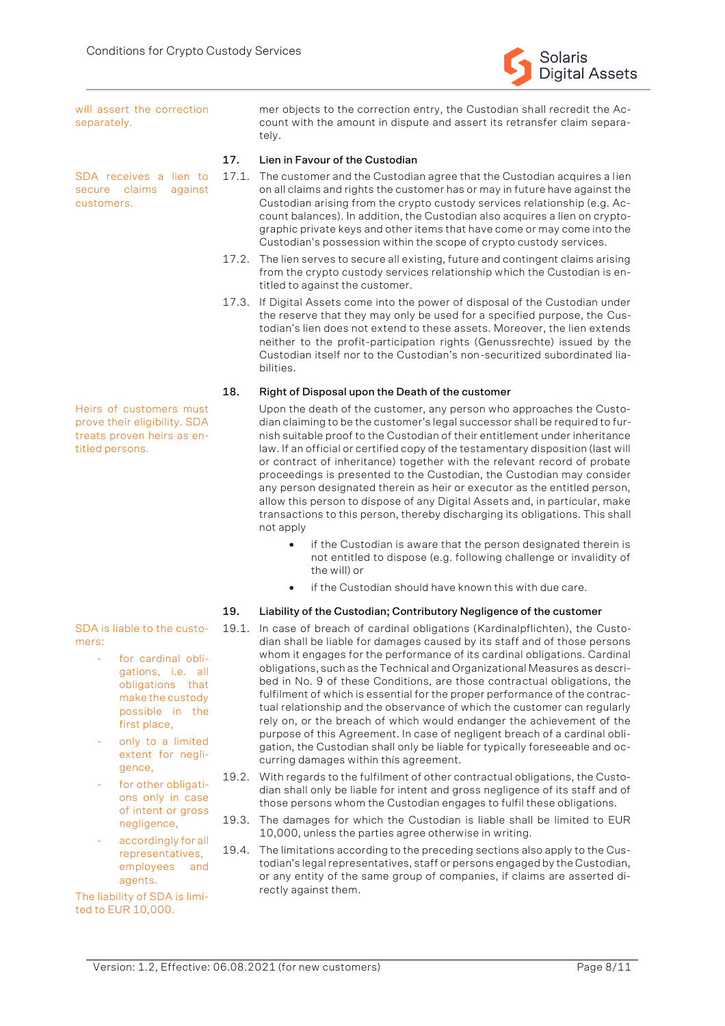

will assert the correction separately.

SDA receives a lien to secure claims against customers.

Heirs of customers must prove their eligibility. SDA treats proven heirs as entitled persons.

SDA is liable to the customers:

- for cardinal obligations, i.e. all obligations that make the custody possible in the first place,
- only to a limited extent for negligence,
- for other obligations only in case of intent or gross negligence,
- accordingly for all representatives, employees and agents.

The liability of SDA is limited to EUR 10,000.

mer objects to the correction entry, the Custodian shall recredit the Account with the amount in dispute and assert its retransfer claim separately.

# **17. Lien in Favour of the Custodian**

- 17.1. The customer and the Custodian agree that the Custodian acquires a lien on all claims and rights the customer has or may in future have against the Custodian arising from the crypto custody services relationship (e.g. Account balances). In addition, the Custodian also acquires a lien on cryptographic private keys and other items that have come or may come into the Custodian's possession within the scope of crypto custody services.
- 17.2. The lien serves to secure all existing, future and contingent claims arising from the crypto custody services relationship which the Custodian is entitled to against the customer.
- 17.3. If Digital Assets come into the power of disposal of the Custodian under the reserve that they may only be used for a specified purpose, the Custodian's lien does not extend to these assets. Moreover, the lien extends neither to the profit-participation rights (Genussrechte) issued by the Custodian itself nor to the Custodian's non-securitized subordinated liabilities.

#### **18. Right of Disposal upon the Death of the customer**

Upon the death of the customer, any person who approaches the Custodian claiming to be the customer's legal successor shall be required to furnish suitable proof to the Custodian of their entitlement under inheritance law. If an official or certified copy of the testamentary disposition (last will or contract of inheritance) together with the relevant record of probate proceedings is presented to the Custodian, the Custodian may consider any person designated therein as heir or executor as the entitled person, allow this person to dispose of any Digital Assets and, in particular, make transactions to this person, thereby discharging its obligations. This shall not apply

- if the Custodian is aware that the person designated therein is not entitled to dispose (e.g. following challenge or invalidity of the will) or
- if the Custodian should have known this with due care.

# **19. Liability of the Custodian; Contributory Negligence of the customer**

- 19.1. In case of breach of cardinal obligations (Kardinalpflichten), the Custodian shall be liable for damages caused by its staff and of those persons whom it engages for the performance of its cardinal obligations. Cardinal obligations, such as the Technical and Organizational Measures as described in No. 9 of these Conditions, are those contractual obligations, the fulfilment of which is essential for the proper performance of the contractual relationship and the observance of which the customer can regularly rely on, or the breach of which would endanger the achievement of the purpose of this Agreement. In case of negligent breach of a cardinal obligation, the Custodian shall only be liable for typically foreseeable and occurring damages within this agreement.
- 19.2. With regards to the fulfilment of other contractual obligations, the Custodian shall only be liable for intent and gross negligence of its staff and of those persons whom the Custodian engages to fulfil these obligations.
- 19.3. The damages for which the Custodian is liable shall be limited to EUR 10,000, unless the parties agree otherwise in writing.
- 19.4. The limitations according to the preceding sections also apply to the Custodian's legal representatives, staff or persons engaged by the Custodian, or any entity of the same group of companies, if claims are asserted directly against them.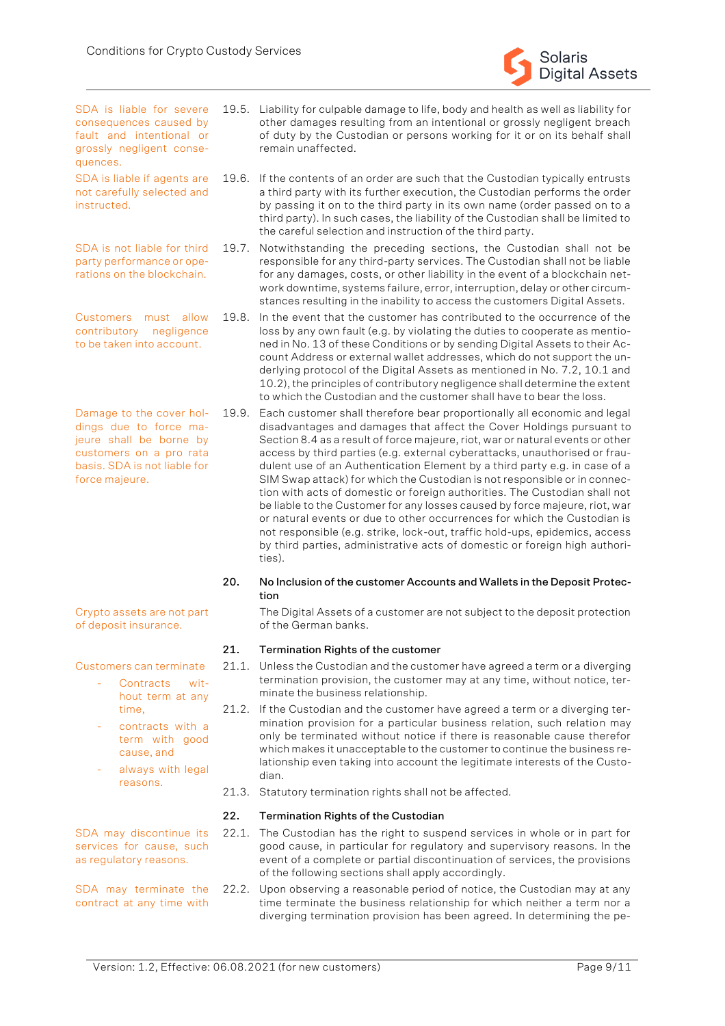SDA is liable for severe consequences caused by fault and intentional or grossly negligent consequences.

SDA is liable if agents are not carefully selected and instructed.

SDA is not liable for third party performance or operations on the blockchain.

Customers must allow contributory negligence to be taken into account.

Damage to the cover holdings due to force majeure shall be borne by customers on a pro rata basis. SDA is not liable for force majeure.

Crypto assets are not part of deposit insurance.

Customers can terminate

- Contracts without term at any time,
- contracts with a term with good cause, and
- always with legal reasons.

SDA may discontinue its services for cause, such as regulatory reasons.

SDA may terminate the contract at any time with

- 19.5. Liability for culpable damage to life, body and health as well as liability for other damages resulting from an intentional or grossly negligent breach of duty by the Custodian or persons working for it or on its behalf shall remain unaffected.
	- 19.6. If the contents of an order are such that the Custodian typically entrusts a third party with its further execution, the Custodian performs the order by passing it on to the third party in its own name (order passed on to a third party). In such cases, the liability of the Custodian shall be limited to the careful selection and instruction of the third party.

19.7. Notwithstanding the preceding sections, the Custodian shall not be responsible for any third-party services. The Custodian shall not be liable for any damages, costs, or other liability in the event of a blockchain network downtime, systems failure, error, interruption, delay or other circumstances resulting in the inability to access the customers Digital Assets.

- 19.8. In the event that the customer has contributed to the occurrence of the loss by any own fault (e.g. by violating the duties to cooperate as mentioned in No. 13 of these Conditions or by sending Digital Assets to their Account Address or external wallet addresses, which do not support the underlying protocol of the Digital Assets as mentioned in No. 7.2, 10.1 and 10.2), the principles of contributory negligence shall determine the extent to which the Custodian and the customer shall have to bear the loss.
- 19.9. Each customer shall therefore bear proportionally all economic and legal disadvantages and damages that affect the Cover Holdings pursuant to Section 8.4 as a result of force majeure, riot, war or natural events or other access by third parties (e.g. external cyberattacks, unauthorised or fraudulent use of an Authentication Element by a third party e.g. in case of a SIM Swap attack) for which the Custodian is not responsible or in connection with acts of domestic or foreign authorities. The Custodian shall not be liable to the Customer for any losses caused by force majeure, riot, war or natural events or due to other occurrences for which the Custodian is not responsible (e.g. strike, lock-out, traffic hold-ups, epidemics, access by third parties, administrative acts of domestic or foreign high authorities).

#### **20. No Inclusion of the customer Accounts and Wallets in the Deposit Protection**

The Digital Assets of a customer are not subject to the deposit protection of the German banks.

# **21. Termination Rights of the customer**

- 21.1. Unless the Custodian and the customer have agreed a term or a diverging termination provision, the customer may at any time, without notice, terminate the business relationship.
- 21.2. If the Custodian and the customer have agreed a term or a diverging termination provision for a particular business relation, such relation may only be terminated without notice if there is reasonable cause therefor which makes it unacceptable to the customer to continue the business relationship even taking into account the legitimate interests of the Custodian.
- 21.3. Statutory termination rights shall not be affected.

# **22. Termination Rights of the Custodian**

22.1. The Custodian has the right to suspend services in whole or in part for good cause, in particular for regulatory and supervisory reasons. In the event of a complete or partial discontinuation of services, the provisions of the following sections shall apply accordingly.

22.2. Upon observing a reasonable period of notice, the Custodian may at any time terminate the business relationship for which neither a term nor a diverging termination provision has been agreed. In determining the pe-

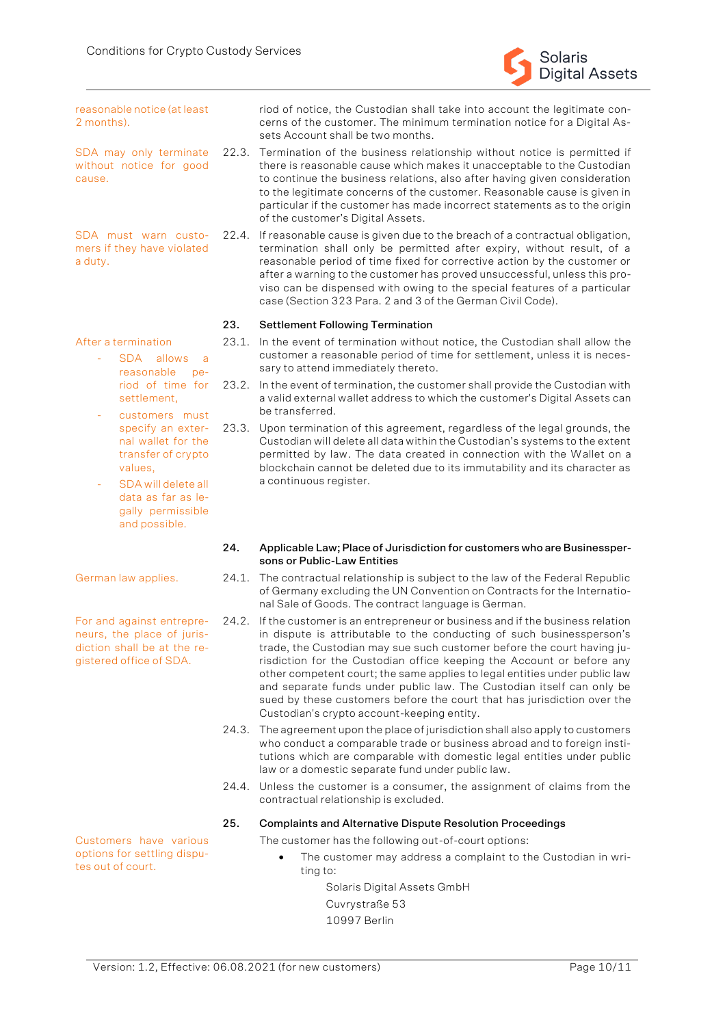#### reasonable notice (at least 2 months).

SDA may only terminate without notice for good cause.

SDA must warn customers if they have violated a duty.

# After a termination

- SDA allows a reasonable period of time for settlement,
- customers must specify an external wallet for the transfer of crypto values,
- SDA will delete all data as far as legally permissible and possible.

For and against entrepreneurs, the place of jurisdiction shall be at the registered office of SDA.

riod of notice, the Custodian shall take into account the legitimate concerns of the customer. The minimum termination notice for a Digital Assets Account shall be two months.

Solaris

Digital Assets

- 22.3. Termination of the business relationship without notice is permitted if there is reasonable cause which makes it unacceptable to the Custodian to continue the business relations, also after having given consideration to the legitimate concerns of the customer. Reasonable cause is given in particular if the customer has made incorrect statements as to the origin of the customer's Digital Assets.
- 22.4. If reasonable cause is given due to the breach of a contractual obligation, termination shall only be permitted after expiry, without result, of a reasonable period of time fixed for corrective action by the customer or after a warning to the customer has proved unsuccessful, unless this proviso can be dispensed with owing to the special features of a particular case (Section 323 Para. 2 and 3 of the German Civil Code).

#### **23. Settlement Following Termination**

- 23.1. In the event of termination without notice, the Custodian shall allow the customer a reasonable period of time for settlement, unless it is necessary to attend immediately thereto.
- 23.2. In the event of termination, the customer shall provide the Custodian with a valid external wallet address to which the customer's Digital Assets can be transferred.
- 23.3. Upon termination of this agreement, regardless of the legal grounds, the Custodian will delete all data within the Custodian's systems to the extent permitted by law. The data created in connection with the Wallet on a blockchain cannot be deleted due to its immutability and its character as a continuous register.

#### **24. Applicable Law; Place of Jurisdiction for customers who are Businesspersons or Public-Law Entities**

- German law applies. 24.1. The contractual relationship is subject to the law of the Federal Republic of Germany excluding the UN Convention on Contracts for the International Sale of Goods. The contract language is German.
	- 24.2. If the customer is an entrepreneur or business and if the business relation in dispute is attributable to the conducting of such businessperson's trade, the Custodian may sue such customer before the court having jurisdiction for the Custodian office keeping the Account or before any other competent court; the same applies to legal entities under public law and separate funds under public law. The Custodian itself can only be sued by these customers before the court that has jurisdiction over the Custodian's crypto account-keeping entity.
	- 24.3. The agreement upon the place of jurisdiction shall also apply to customers who conduct a comparable trade or business abroad and to foreign institutions which are comparable with domestic legal entities under public law or a domestic separate fund under public law.
	- 24.4. Unless the customer is a consumer, the assignment of claims from the contractual relationship is excluded.

#### **25. Complaints and Alternative Dispute Resolution Proceedings**

The customer has the following out-of-court options:

The customer may address a complaint to the Custodian in writing to:

> Solaris Digital Assets GmbH Cuvrystraße 53

10997 Berlin

Customers have various options for settling disputes out of court.